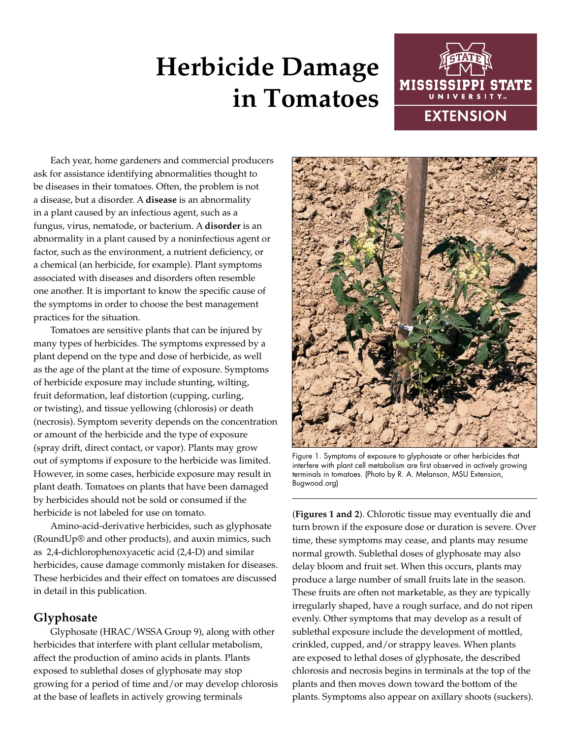# **Herbicide Damage in Tomatoes**



Each year, home gardeners and commercial producers ask for assistance identifying abnormalities thought to be diseases in their tomatoes. Often, the problem is not a disease, but a disorder. A **disease** is an abnormality in a plant caused by an infectious agent, such as a fungus, virus, nematode, or bacterium. A **disorder** is an abnormality in a plant caused by a noninfectious agent or factor, such as the environment, a nutrient deficiency, or a chemical (an herbicide, for example). Plant symptoms associated with diseases and disorders often resemble one another. It is important to know the specific cause of the symptoms in order to choose the best management practices for the situation.

Tomatoes are sensitive plants that can be injured by many types of herbicides. The symptoms expressed by a plant depend on the type and dose of herbicide, as well as the age of the plant at the time of exposure. Symptoms of herbicide exposure may include stunting, wilting, fruit deformation, leaf distortion (cupping, curling, or twisting), and tissue yellowing (chlorosis) or death (necrosis). Symptom severity depends on the concentration or amount of the herbicide and the type of exposure (spray drift, direct contact, or vapor). Plants may grow out of symptoms if exposure to the herbicide was limited. However, in some cases, herbicide exposure may result in plant death. Tomatoes on plants that have been damaged by herbicides should not be sold or consumed if the herbicide is not labeled for use on tomato.

Amino-acid-derivative herbicides, such as glyphosate (RoundUp® and other products), and auxin mimics, such as 2,4-dichlorophenoxyacetic acid (2,4-D) and similar herbicides, cause damage commonly mistaken for diseases. These herbicides and their effect on tomatoes are discussed in detail in this publication.

## **Glyphosate**

Glyphosate (HRAC/WSSA Group 9), along with other herbicides that interfere with plant cellular metabolism, affect the production of amino acids in plants. Plants exposed to sublethal doses of glyphosate may stop growing for a period of time and/or may develop chlorosis at the base of leaflets in actively growing terminals



Figure 1. Symptoms of exposure to glyphosate or other herbicides that interfere with plant cell metabolism are first observed in actively growing terminals in tomatoes. (Photo by R. A. Melanson, MSU Extension, Bugwood.org)

(**Figures 1 and 2**). Chlorotic tissue may eventually die and turn brown if the exposure dose or duration is severe. Over time, these symptoms may cease, and plants may resume normal growth. Sublethal doses of glyphosate may also delay bloom and fruit set. When this occurs, plants may produce a large number of small fruits late in the season. These fruits are often not marketable, as they are typically irregularly shaped, have a rough surface, and do not ripen evenly. Other symptoms that may develop as a result of sublethal exposure include the development of mottled, crinkled, cupped, and/or strappy leaves. When plants are exposed to lethal doses of glyphosate, the described chlorosis and necrosis begins in terminals at the top of the plants and then moves down toward the bottom of the plants. Symptoms also appear on axillary shoots (suckers).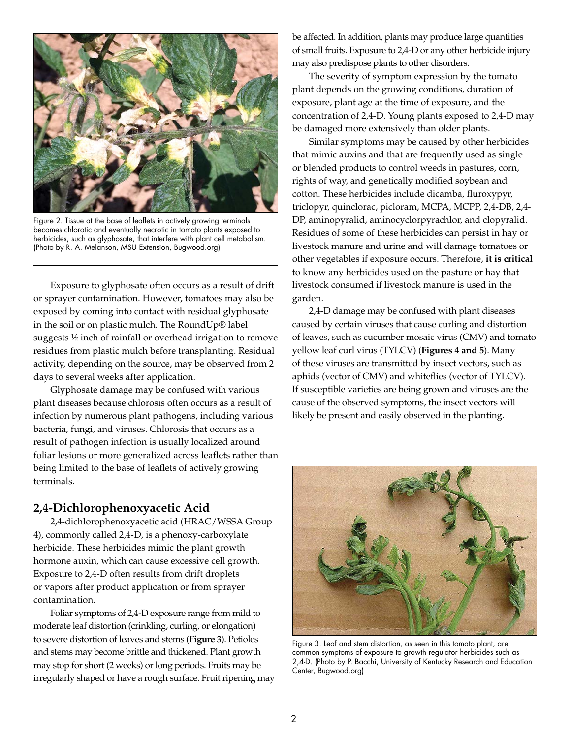

Figure 2. Tissue at the base of leaflets in actively growing terminals becomes chlorotic and eventually necrotic in tomato plants exposed to herbicides, such as glyphosate, that interfere with plant cell metabolism. (Photo by R. A. Melanson, MSU Extension, Bugwood.org)

Exposure to glyphosate often occurs as a result of drift or sprayer contamination. However, tomatoes may also be exposed by coming into contact with residual glyphosate in the soil or on plastic mulch. The RoundUp® label suggests ½ inch of rainfall or overhead irrigation to remove residues from plastic mulch before transplanting. Residual activity, depending on the source, may be observed from 2 days to several weeks after application.

Glyphosate damage may be confused with various plant diseases because chlorosis often occurs as a result of infection by numerous plant pathogens, including various bacteria, fungi, and viruses. Chlorosis that occurs as a result of pathogen infection is usually localized around foliar lesions or more generalized across leaflets rather than being limited to the base of leaflets of actively growing terminals.

#### **2,4-Dichlorophenoxyacetic Acid**

2,4-dichlorophenoxyacetic acid (HRAC/WSSA Group 4), commonly called 2,4-D, is a phenoxy-carboxylate herbicide. These herbicides mimic the plant growth hormone auxin, which can cause excessive cell growth. Exposure to 2,4-D often results from drift droplets or vapors after product application or from sprayer contamination.

Foliar symptoms of 2,4-D exposure range from mild to moderate leaf distortion (crinkling, curling, or elongation) to severe distortion of leaves and stems (**Figure 3**). Petioles and stems may become brittle and thickened. Plant growth may stop for short (2 weeks) or long periods. Fruits may be irregularly shaped or have a rough surface. Fruit ripening may be affected. In addition, plants may produce large quantities of small fruits. Exposure to 2,4-D or any other herbicide injury may also predispose plants to other disorders.

The severity of symptom expression by the tomato plant depends on the growing conditions, duration of exposure, plant age at the time of exposure, and the concentration of 2,4-D. Young plants exposed to 2,4-D may be damaged more extensively than older plants.

Similar symptoms may be caused by other herbicides that mimic auxins and that are frequently used as single or blended products to control weeds in pastures, corn, rights of way, and genetically modified soybean and cotton. These herbicides include dicamba, fluroxypyr, triclopyr, quinclorac, picloram, MCPA, MCPP, 2,4-DB, 2,4- DP, aminopyralid, aminocyclorpyrachlor, and clopyralid. Residues of some of these herbicides can persist in hay or livestock manure and urine and will damage tomatoes or other vegetables if exposure occurs. Therefore, **it is critical** to know any herbicides used on the pasture or hay that livestock consumed if livestock manure is used in the garden.

2,4-D damage may be confused with plant diseases caused by certain viruses that cause curling and distortion of leaves, such as cucumber mosaic virus (CMV) and tomato yellow leaf curl virus (TYLCV) (**Figures 4 and 5**). Many of these viruses are transmitted by insect vectors, such as aphids (vector of CMV) and whiteflies (vector of TYLCV). If susceptible varieties are being grown and viruses are the cause of the observed symptoms, the insect vectors will likely be present and easily observed in the planting.



Figure 3. Leaf and stem distortion, as seen in this tomato plant, are common symptoms of exposure to growth regulator herbicides such as 2,4-D. (Photo by P. Bacchi, University of Kentucky Research and Education Center, Bugwood.org)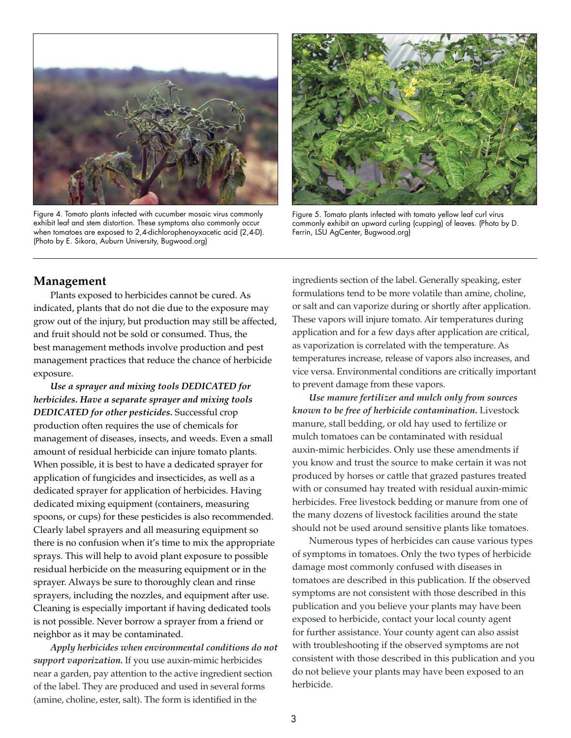

Figure 4. Tomato plants infected with cucumber mosaic virus commonly exhibit leaf and stem distortion. These symptoms also commonly occur when tomatoes are exposed to 2,4-dichlorophenoyxacetic acid (2,4-D). (Photo by E. Sikora, Auburn University, Bugwood.org)



Figure 5. Tomato plants infected with tomato yellow leaf curl virus commonly exhibit an upward curling (cupping) of leaves. (Photo by D. Ferrin, LSU AgCenter, Bugwood.org)

#### **Management**

Plants exposed to herbicides cannot be cured. As indicated, plants that do not die due to the exposure may grow out of the injury, but production may still be affected, and fruit should not be sold or consumed. Thus, the best management methods involve production and pest management practices that reduce the chance of herbicide exposure.

*Use a sprayer and mixing tools DEDICATED for herbicides. Have a separate sprayer and mixing tools DEDICATED for other pesticides.* Successful crop production often requires the use of chemicals for management of diseases, insects, and weeds. Even a small amount of residual herbicide can injure tomato plants. When possible, it is best to have a dedicated sprayer for application of fungicides and insecticides, as well as a dedicated sprayer for application of herbicides. Having dedicated mixing equipment (containers, measuring spoons, or cups) for these pesticides is also recommended. Clearly label sprayers and all measuring equipment so there is no confusion when it's time to mix the appropriate sprays. This will help to avoid plant exposure to possible residual herbicide on the measuring equipment or in the sprayer. Always be sure to thoroughly clean and rinse sprayers, including the nozzles, and equipment after use. Cleaning is especially important if having dedicated tools is not possible. Never borrow a sprayer from a friend or neighbor as it may be contaminated.

*Apply herbicides when environmental conditions do not support vaporization.* If you use auxin-mimic herbicides near a garden, pay attention to the active ingredient section of the label. They are produced and used in several forms (amine, choline, ester, salt). The form is identified in the

ingredients section of the label. Generally speaking, ester formulations tend to be more volatile than amine, choline, or salt and can vaporize during or shortly after application. These vapors will injure tomato. Air temperatures during application and for a few days after application are critical, as vaporization is correlated with the temperature. As temperatures increase, release of vapors also increases, and vice versa. Environmental conditions are critically important to prevent damage from these vapors.

*Use manure fertilizer and mulch only from sources known to be free of herbicide contamination.* Livestock manure, stall bedding, or old hay used to fertilize or mulch tomatoes can be contaminated with residual auxin-mimic herbicides. Only use these amendments if you know and trust the source to make certain it was not produced by horses or cattle that grazed pastures treated with or consumed hay treated with residual auxin-mimic herbicides. Free livestock bedding or manure from one of the many dozens of livestock facilities around the state should not be used around sensitive plants like tomatoes.

Numerous types of herbicides can cause various types of symptoms in tomatoes. Only the two types of herbicide damage most commonly confused with diseases in tomatoes are described in this publication. If the observed symptoms are not consistent with those described in this publication and you believe your plants may have been exposed to herbicide, contact your local county agent for further assistance. Your county agent can also assist with troubleshooting if the observed symptoms are not consistent with those described in this publication and you do not believe your plants may have been exposed to an herbicide.